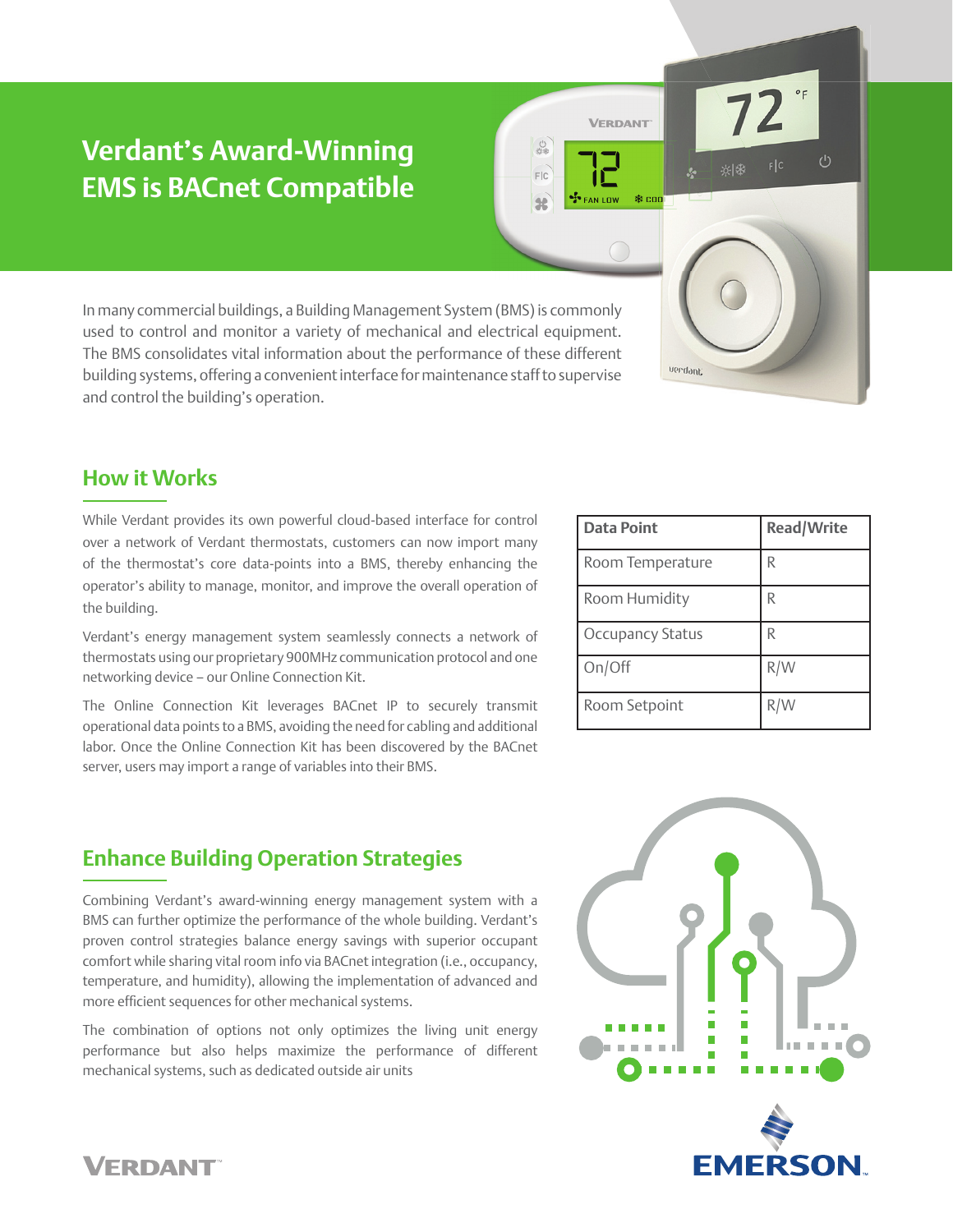# **Verdant's Award-Winning EMS is BACnet Compatible**

In many commercial buildings, a Building Management System (BMS) is commonly used to control and monitor a variety of mechanical and electrical equipment. The BMS consolidates vital information about the performance of these different building systems, offering a convenient interface for maintenance staff to supervise and control the building's operation.

#### **How it Works**

While Verdant provides its own powerful cloud-based interface for control over a network of Verdant thermostats, customers can now import many of the thermostat's core data-points into a BMS, thereby enhancing the operator's ability to manage, monitor, and improve the overall operation of the building.

Verdant's energy management system seamlessly connects a network of thermostats using our proprietary 900MHz communication protocol and one networking device – our Online Connection Kit.

The Online Connection Kit leverages BACnet IP to securely transmit operational data points to a BMS, avoiding the need for cabling and additional labor. Once the Online Connection Kit has been discovered by the BACnet server, users may import a range of variables into their BMS.

| <b>Data Point</b>       | <b>Read/Write</b> |
|-------------------------|-------------------|
| Room Temperature        | R                 |
| Room Humidity           | R                 |
| <b>Occupancy Status</b> | R                 |
| On/Off                  | R/W               |
| Room Setpoint           | R/W               |

※|豢

**VERDANT** 

**参 coo** 

verdant

**FAN LOW** 

 $35$ 

 $FIC$ 

92

## **Enhance Building Operation Strategies**

Combining Verdant's award-winning energy management system with a BMS can further optimize the performance of the whole building. Verdant's proven control strategies balance energy savings with superior occupant comfort while sharing vital room info via BACnet integration (i.e., occupancy, temperature, and humidity), allowing the implementation of advanced and more efficient sequences for other mechanical systems.

The combination of options not only optimizes the living unit energy performance but also helps maximize the performance of different mechanical systems, such as dedicated outside air units





## **VERDANT**